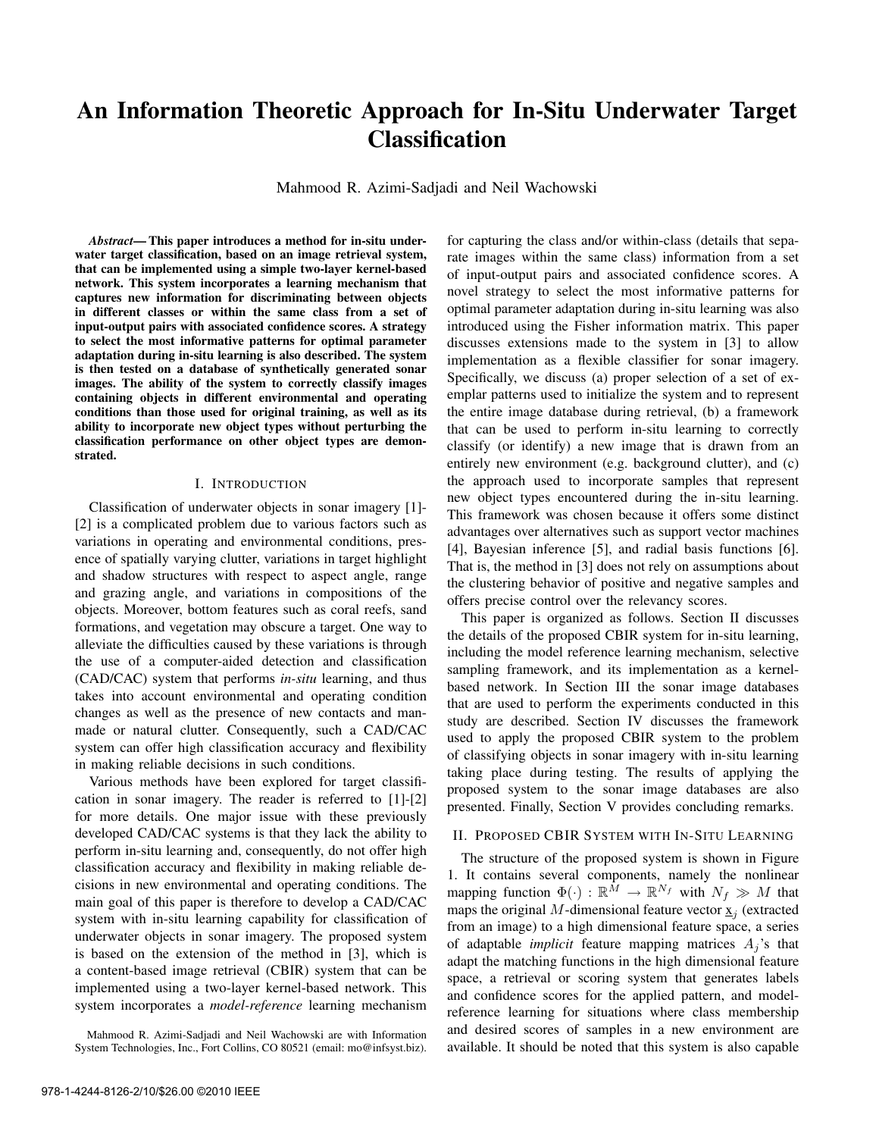# An Information Theoretic Approach for In-Situ Underwater Target **Classification**

Mahmood R. Azimi-Sadjadi and Neil Wachowski

*Abstract*— This paper introduces a method for in-situ underwater target classification, based on an image retrieval system, that can be implemented using a simple two-layer kernel-based network. This system incorporates a learning mechanism that captures new information for discriminating between objects in different classes or within the same class from a set of input-output pairs with associated confidence scores. A strategy to select the most informative patterns for optimal parameter adaptation during in-situ learning is also described. The system is then tested on a database of synthetically generated sonar images. The ability of the system to correctly classify images containing objects in different environmental and operating conditions than those used for original training, as well as its ability to incorporate new object types without perturbing the classification performance on other object types are demonstrated.

#### I. INTRODUCTION

Classification of underwater objects in sonar imagery [1]- [2] is a complicated problem due to various factors such as variations in operating and environmental conditions, presence of spatially varying clutter, variations in target highlight and shadow structures with respect to aspect angle, range and grazing angle, and variations in compositions of the objects. Moreover, bottom features such as coral reefs, sand formations, and vegetation may obscure a target. One way to alleviate the difficulties caused by these variations is through the use of a computer-aided detection and classification (CAD/CAC) system that performs *in-situ* learning, and thus takes into account environmental and operating condition changes as well as the presence of new contacts and manmade or natural clutter. Consequently, such a CAD/CAC system can offer high classification accuracy and flexibility in making reliable decisions in such conditions.

Various methods have been explored for target classification in sonar imagery. The reader is referred to [1]-[2] for more details. One major issue with these previously developed CAD/CAC systems is that they lack the ability to perform in-situ learning and, consequently, do not offer high classification accuracy and flexibility in making reliable decisions in new environmental and operating conditions. The main goal of this paper is therefore to develop a CAD/CAC system with in-situ learning capability for classification of underwater objects in sonar imagery. The proposed system is based on the extension of the method in [3], which is a content-based image retrieval (CBIR) system that can be implemented using a two-layer kernel-based network. This system incorporates a *model-reference* learning mechanism

Mahmood R. Azimi-Sadjadi and Neil Wachowski are with Information System Technologies, Inc., Fort Collins, CO 80521 (email: mo@infsyst.biz).

for capturing the class and/or within-class (details that separate images within the same class) information from a set of input-output pairs and associated confidence scores. A novel strategy to select the most informative patterns for optimal parameter adaptation during in-situ learning was also introduced using the Fisher information matrix. This paper discusses extensions made to the system in [3] to allow implementation as a flexible classifier for sonar imagery. Specifically, we discuss (a) proper selection of a set of exemplar patterns used to initialize the system and to represent the entire image database during retrieval, (b) a framework that can be used to perform in-situ learning to correctly classify (or identify) a new image that is drawn from an entirely new environment (e.g. background clutter), and (c) the approach used to incorporate samples that represent new object types encountered during the in-situ learning. This framework was chosen because it offers some distinct advantages over alternatives such as support vector machines [4], Bayesian inference [5], and radial basis functions [6]. That is, the method in [3] does not rely on assumptions about the clustering behavior of positive and negative samples and offers precise control over the relevancy scores.

This paper is organized as follows. Section II discusses the details of the proposed CBIR system for in-situ learning, including the model reference learning mechanism, selective sampling framework, and its implementation as a kernelbased network. In Section III the sonar image databases that are used to perform the experiments conducted in this study are described. Section IV discusses the framework used to apply the proposed CBIR system to the problem of classifying objects in sonar imagery with in-situ learning taking place during testing. The results of applying the proposed system to the sonar image databases are also presented. Finally, Section V provides concluding remarks.

### II. PROPOSED CBIR SYSTEM WITH IN-SITU LEARNING

The structure of the proposed system is shown in Figure 1. It contains several components, namely the nonlinear mapping function  $\Phi(\cdot) : \mathbb{R}^{\bar{M}} \to \mathbb{R}^{N_f}$  with  $N_f \gg M$  that maps the original M-dimensional feature vector  $\underline{x}_j$  (extracted from an image) to a high dimensional feature space, a series of adaptable *implicit* feature mapping matrices  $A_i$ 's that adapt the matching functions in the high dimensional feature space, a retrieval or scoring system that generates labels and confidence scores for the applied pattern, and modelreference learning for situations where class membership and desired scores of samples in a new environment are available. It should be noted that this system is also capable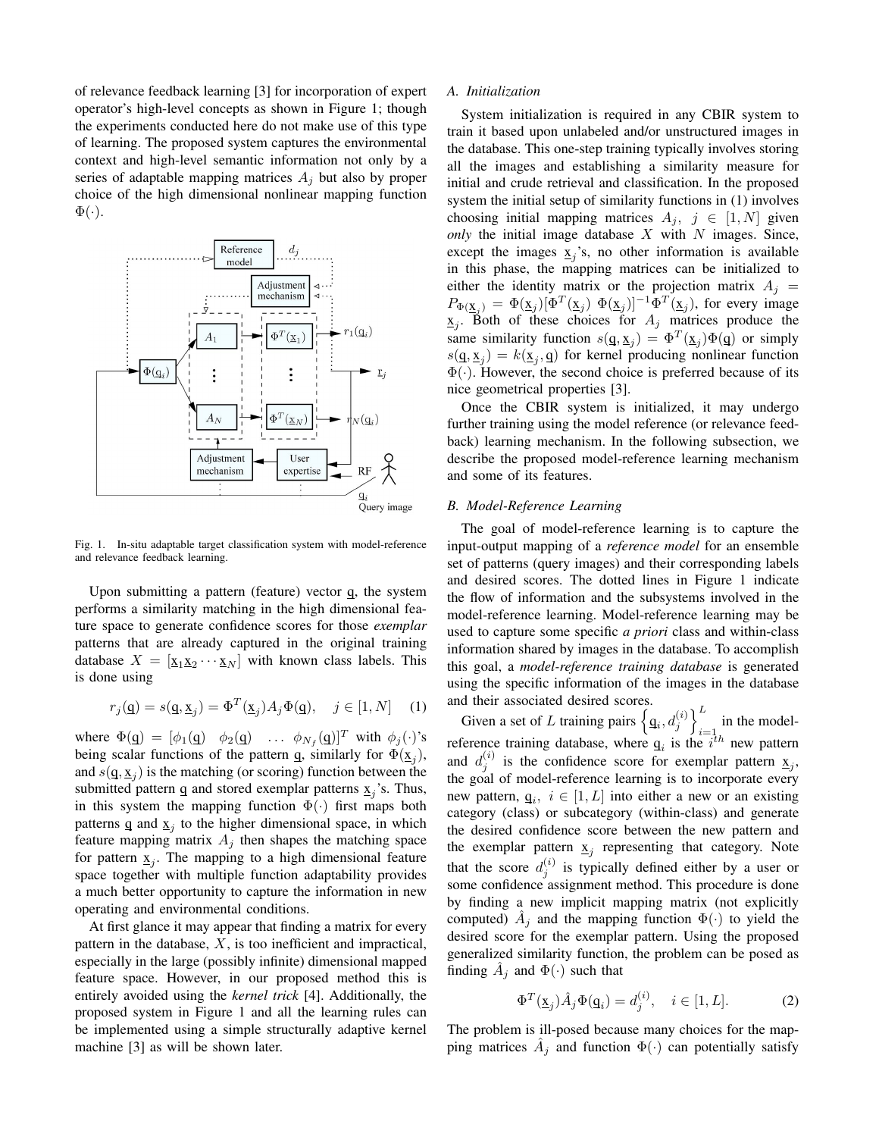of relevance feedback learning [3] for incorporation of expert operator's high-level concepts as shown in Figure 1; though the experiments conducted here do not make use of this type of learning. The proposed system captures the environmental context and high-level semantic information not only by a series of adaptable mapping matrices  $A_i$  but also by proper choice of the high dimensional nonlinear mapping function  $\Phi(\cdot)$ .



Fig. 1. In-situ adaptable target classification system with model-reference and relevance feedback learning.

Upon submitting a pattern (feature) vector q, the system performs a similarity matching in the high dimensional feature space to generate confidence scores for those *exemplar* patterns that are already captured in the original training database  $X = [\underline{x}_1 \underline{x}_2 \cdots \underline{x}_N]$  with known class labels. This is done using

$$
r_j(\mathbf{q}) = s(\mathbf{q}, \mathbf{x}_j) = \Phi^T(\mathbf{x}_j) A_j \Phi(\mathbf{q}), \quad j \in [1, N] \quad (1)
$$

where  $\Phi(\mathbf{q}) = [\phi_1(\mathbf{q}) \quad \phi_2(\mathbf{q}) \quad \dots \quad \phi_{N_f}(\mathbf{q})]^T$  with  $\phi_j(\cdot)$ 's being scalar functions of the pattern q, similarly for  $\Phi(\underline{x}_j)$ , and  $s(\mathbf{q}, \mathbf{x}_j)$  is the matching (or scoring) function between the submitted pattern q and stored exemplar patterns  $\underline{x}_j$ 's. Thus, in this system the mapping function  $\Phi(\cdot)$  first maps both patterns q and  $\underline{x}_j$  to the higher dimensional space, in which feature mapping matrix  $A_j$  then shapes the matching space for pattern  $\underline{x}_j$ . The mapping to a high dimensional feature space together with multiple function adaptability provides a much better opportunity to capture the information in new operating and environmental conditions.

At first glance it may appear that finding a matrix for every pattern in the database,  $X$ , is too inefficient and impractical, especially in the large (possibly infinite) dimensional mapped feature space. However, in our proposed method this is entirely avoided using the *kernel trick* [4]. Additionally, the proposed system in Figure 1 and all the learning rules can be implemented using a simple structurally adaptive kernel machine [3] as will be shown later.

#### *A. Initialization*

System initialization is required in any CBIR system to train it based upon unlabeled and/or unstructured images in the database. This one-step training typically involves storing all the images and establishing a similarity measure for initial and crude retrieval and classification. In the proposed system the initial setup of similarity functions in (1) involves choosing initial mapping matrices  $A_j$ ,  $j \in [1, N]$  given  $only$  the initial image database  $X$  with  $N$  images. Since, except the images  $\underline{x}_j$ 's, no other information is available in this phase, the mapping matrices can be initialized to either the identity matrix or the projection matrix  $A_i =$  $P_{\Phi(\underline{\mathbf{X}}_j)} = \Phi(\underline{\mathbf{x}}_j)[\Phi^T(\underline{\mathbf{x}}_j) \ \Phi(\underline{\mathbf{x}}_j)]^{-1} \Phi^T(\underline{\mathbf{x}}_j)$ , for every image  $\underline{x}_j$ . Both of these choices for  $A_j$  matrices produce the same similarity function  $s(q, \underline{x}_j) = \Phi^T(\underline{x}_j) \Phi(q)$  or simply  $s(\mathbf{q}, \mathbf{x}_j) = k(\mathbf{x}_j, \mathbf{q})$  for kernel producing nonlinear function  $\Phi(\cdot)$ . However, the second choice is preferred because of its nice geometrical properties [3].

Once the CBIR system is initialized, it may undergo further training using the model reference (or relevance feedback) learning mechanism. In the following subsection, we describe the proposed model-reference learning mechanism and some of its features.

# *B. Model-Reference Learning*

The goal of model-reference learning is to capture the input-output mapping of a *reference model* for an ensemble set of patterns (query images) and their corresponding labels and desired scores. The dotted lines in Figure 1 indicate the flow of information and the subsystems involved in the model-reference learning. Model-reference learning may be used to capture some specific *a priori* class and within-class information shared by images in the database. To accomplish this goal, a *model-reference training database* is generated using the specific information of the images in the database and their associated desired scores.

Given a set of L training pairs  $\left\{ \mathbf{q}_i, d_j^{(i)} \right\}$ in the model-<br> $i=1$ , reference training database, where  $q_i$  is the  $i^{th}$  new pattern and  $d_j^{(i)}$  is the confidence score for exemplar pattern  $\underline{x}_j$ , the goal of model-reference learning is to incorporate every new pattern,  $q_i$ ,  $i \in [1, L]$  into either a new or an existing category (class) or subcategory (within-class) and generate the desired confidence score between the new pattern and the exemplar pattern  $\underline{x}_j$  representing that category. Note that the score  $d_j^{(i)}$  is typically defined either by a user or some confidence assignment method. This procedure is done by finding a new implicit mapping matrix (not explicitly computed)  $\hat{A}_j$  and the mapping function  $\Phi(\cdot)$  to yield the desired score for the exemplar pattern. Using the proposed generalized similarity function, the problem can be posed as finding  $\hat{A}_j$  and  $\Phi(\cdot)$  such that

$$
\Phi^T(\underline{\mathbf{x}}_j)\hat{A}_j\Phi(\underline{\mathbf{q}}_i) = d_j^{(i)}, \quad i \in [1, L].
$$
 (2)

The problem is ill-posed because many choices for the mapping matrices  $\hat{A}_j$  and function  $\Phi(\cdot)$  can potentially satisfy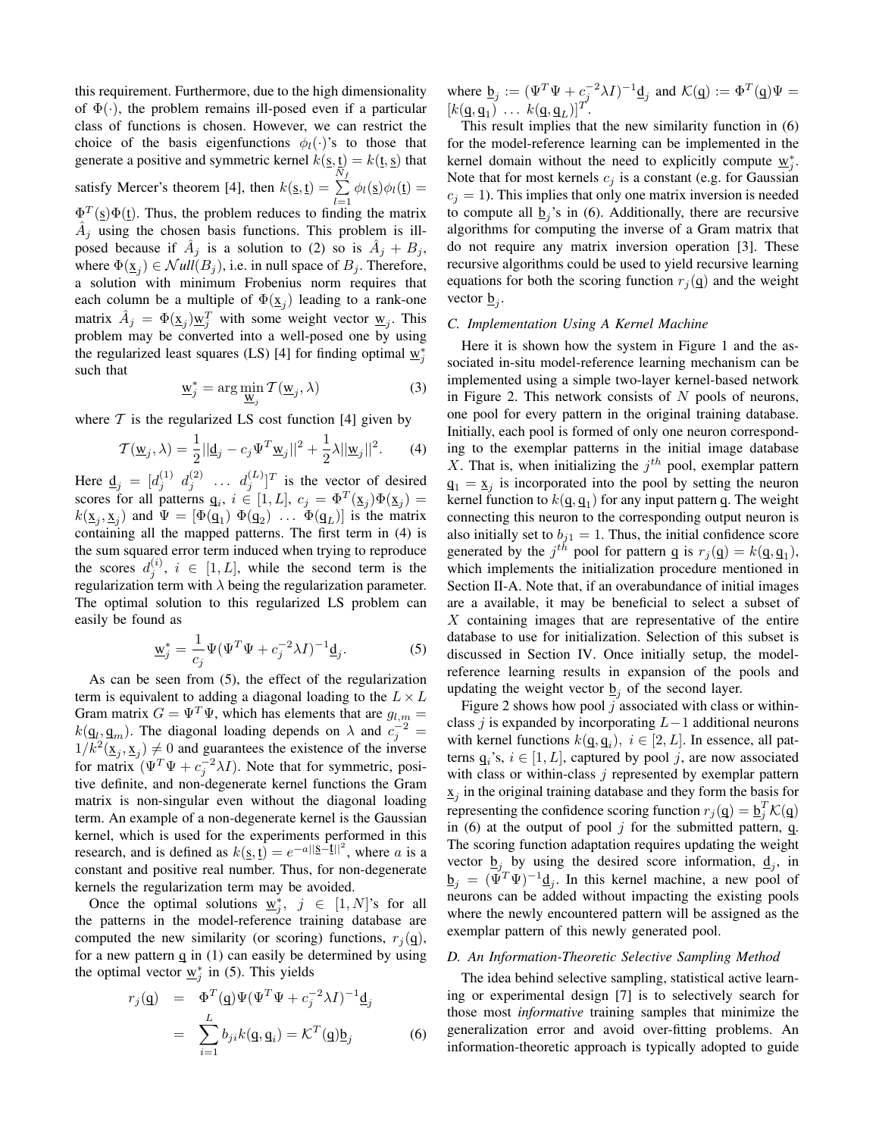this requirement. Furthermore, due to the high dimensionality of  $\Phi(\cdot)$ , the problem remains ill-posed even if a particular class of functions is chosen. However, we can restrict the choice of the basis eigenfunctions  $\phi_l(\cdot)$ 's to those that generate a positive and symmetric kernel  $k(\underline{s}, \underline{t}) = k(\underline{t}, \underline{s})$  that satisfy Mercer's theorem [4], then  $k(\underline{s}, \underline{t}) = \sum^{N_f}$  $\sum_{l=1} \phi_l(\underline{s})\phi_l(\underline{t}) =$  $\Phi^T(\underline{s})\Phi(\underline{t})$ . Thus, the problem reduces to finding the matrix  $\hat{A}_j$  using the chosen basis functions. This problem is illposed because if  $\hat{A}_j$  is a solution to (2) so is  $\hat{A}_j + B_j$ , where  $\Phi(\underline{x}_j) \in Null(B_j)$ , i.e. in null space of  $B_j$ . Therefore, a solution with minimum Frobenius norm requires that each column be a multiple of  $\Phi(\underline{x}_j)$  leading to a rank-one matrix  $\hat{A}_j = \Phi(\underline{x}_j) \underline{w}_j^T$  with some weight vector  $\underline{w}_j$ . This problem may be converted into a well-posed one by using

$$
\underline{\mathbf{w}}_j^* = \arg\min_{\underline{\mathbf{W}}_j} \mathcal{T}(\underline{\mathbf{w}}_j, \lambda)
$$
 (3)

where  $T$  is the regularized LS cost function [4] given by

such that

the regularized least squares (LS) [4] for finding optimal  $\underline{w}_j^*$ 

$$
\mathcal{T}(\underline{\mathbf{w}}_j, \lambda) = \frac{1}{2} ||\underline{\mathbf{d}}_j - c_j \Psi^T \underline{\mathbf{w}}_j||^2 + \frac{1}{2} \lambda ||\underline{\mathbf{w}}_j||^2.
$$
 (4)

Here  $\underline{\mathbf{d}}_j = [d_j^{(1)} \ d_j^{(2)} \ \dots \ d_j^{(L)}]^T$  is the vector of desired scores for all patterns  $q_i$ ,  $i \in [1, L]$ ,  $c_j = \Phi^T(\underline{x}_j) \Phi(\underline{x}_j) =$  $k(\underline{x}_j, \underline{x}_j)$  and  $\Psi = [\Phi(\underline{q}_1) \ \Phi(\underline{q}_2) \ \dots \ \Phi(\underline{q}_L)]$  is the matrix containing all the mapped patterns. The first term in (4) is the sum squared error term induced when trying to reproduce the scores  $d_j^{(i)}$ ,  $i \in [1, L]$ , while the second term is the regularization term with  $\lambda$  being the regularization parameter. The optimal solution to this regularized LS problem can easily be found as

$$
\underline{\mathbf{w}}_j^* = \frac{1}{c_j} \Psi (\Psi^T \Psi + c_j^{-2} \lambda I)^{-1} \underline{\mathbf{d}}_j.
$$
 (5)

As can be seen from (5), the effect of the regularization term is equivalent to adding a diagonal loading to the  $L \times L$ Gram matrix  $G = \Psi^T \Psi$ , which has elements that are  $g_{l,m} =$  $k(\mathbf{q}_l, \mathbf{q}_m)$ . The diagonal loading depends on  $\lambda$  and  $c_j^{-2} =$  $1/k^2(\underline{x}_j, \underline{x}_j) \neq 0$  and guarantees the existence of the inverse for matrix  $(\Psi^T \Psi + c_j^{-2} \lambda I)$ . Note that for symmetric, positive definite, and non-degenerate kernel functions the Gram matrix is non-singular even without the diagonal loading term. An example of a non-degenerate kernel is the Gaussian kernel, which is used for the experiments performed in this research, and is defined as  $k(\underline{s}, \underline{t}) = e^{-a||\underline{s}-\underline{t}||^2}$ , where a is a constant and positive real number. Thus, for non-degenerate kernels the regularization term may be avoided.

Once the optimal solutions  $\underline{w}_j^*$ ,  $j \in [1, N]$ 's for all the patterns in the model-reference training database are computed the new similarity (or scoring) functions,  $r_i(q)$ , for a new pattern q in (1) can easily be determined by using the optimal vector  $\underline{w}_{j}^{*}$  in (5). This yields

$$
r_j(\mathbf{q}) = \Phi^T(\mathbf{q}) \Psi(\Psi^T \Psi + c_j^{-2} \lambda I)^{-1} \underline{\mathbf{d}}_j
$$
  

$$
= \sum_{i=1}^L b_{ji} k(\mathbf{q}, \mathbf{q}_i) = \mathcal{K}^T(\mathbf{q}) \underline{\mathbf{b}}_j
$$
(6)

where  $\underline{b}_j := (\Psi^T \Psi + c_j^{-2} \lambda I)^{-1} \underline{d}_j$  and  $\mathcal{K}(\underline{q}) := \Phi^T(\underline{q}) \Psi =$  $[k(q, q_1) \dots k(q, q_L)]^T$ .

This result implies that the new similarity function in (6) for the model-reference learning can be implemented in the kernel domain without the need to explicitly compute  $\underline{w}_j^*$ . Note that for most kernels  $c_j$  is a constant (e.g. for Gaussian  $c_j = 1$ ). This implies that only one matrix inversion is needed to compute all  $\underline{b}_j$ 's in (6). Additionally, there are recursive algorithms for computing the inverse of a Gram matrix that do not require any matrix inversion operation [3]. These recursive algorithms could be used to yield recursive learning equations for both the scoring function  $r_j(q)$  and the weight vector  $\underline{b}_j$ .

# *C. Implementation Using A Kernel Machine*

Here it is shown how the system in Figure 1 and the associated in-situ model-reference learning mechanism can be implemented using a simple two-layer kernel-based network in Figure 2. This network consists of  $N$  pools of neurons, one pool for every pattern in the original training database. Initially, each pool is formed of only one neuron corresponding to the exemplar patterns in the initial image database X. That is, when initializing the  $j<sup>th</sup>$  pool, exemplar pattern  $q_1 = \underline{x}_j$  is incorporated into the pool by setting the neuron kernel function to  $k(\mathbf{q}, \mathbf{q}_1)$  for any input pattern  $\mathbf{q}$ . The weight connecting this neuron to the corresponding output neuron is also initially set to  $b_{j1} = 1$ . Thus, the initial confidence score generated by the  $j^{th}$  pool for pattern q is  $r_j(q) = k(q, q_1)$ , which implements the initialization procedure mentioned in Section II-A. Note that, if an overabundance of initial images are a available, it may be beneficial to select a subset of  $X$  containing images that are representative of the entire database to use for initialization. Selection of this subset is discussed in Section IV. Once initially setup, the modelreference learning results in expansion of the pools and updating the weight vector  $\underline{b}_j$  of the second layer.

Figure 2 shows how pool  $j$  associated with class or withinclass j is expanded by incorporating  $L-1$  additional neurons with kernel functions  $k(\mathbf{q}, \mathbf{q}_i)$ ,  $i \in [2, L]$ . In essence, all patterns  $q_i$ 's,  $i \in [1, L]$ , captured by pool j, are now associated with class or within-class  $j$  represented by exemplar pattern  $\underline{x}_j$  in the original training database and they form the basis for representing the confidence scoring function  $r_j(q) = \underline{b}_j^T \mathcal{K}(q)$ in (6) at the output of pool  $j$  for the submitted pattern,  $q$ . The scoring function adaptation requires updating the weight vector  $\underline{b}_j$  by using the desired score information,  $\underline{d}_j$ , in  $\underline{b}_j = (\Psi^T \Psi)^{-1} \underline{d}_j$ . In this kernel machine, a new pool of neurons can be added without impacting the existing pools where the newly encountered pattern will be assigned as the exemplar pattern of this newly generated pool.

#### *D. An Information-Theoretic Selective Sampling Method*

The idea behind selective sampling, statistical active learning or experimental design [7] is to selectively search for those most *informative* training samples that minimize the generalization error and avoid over-fitting problems. An information-theoretic approach is typically adopted to guide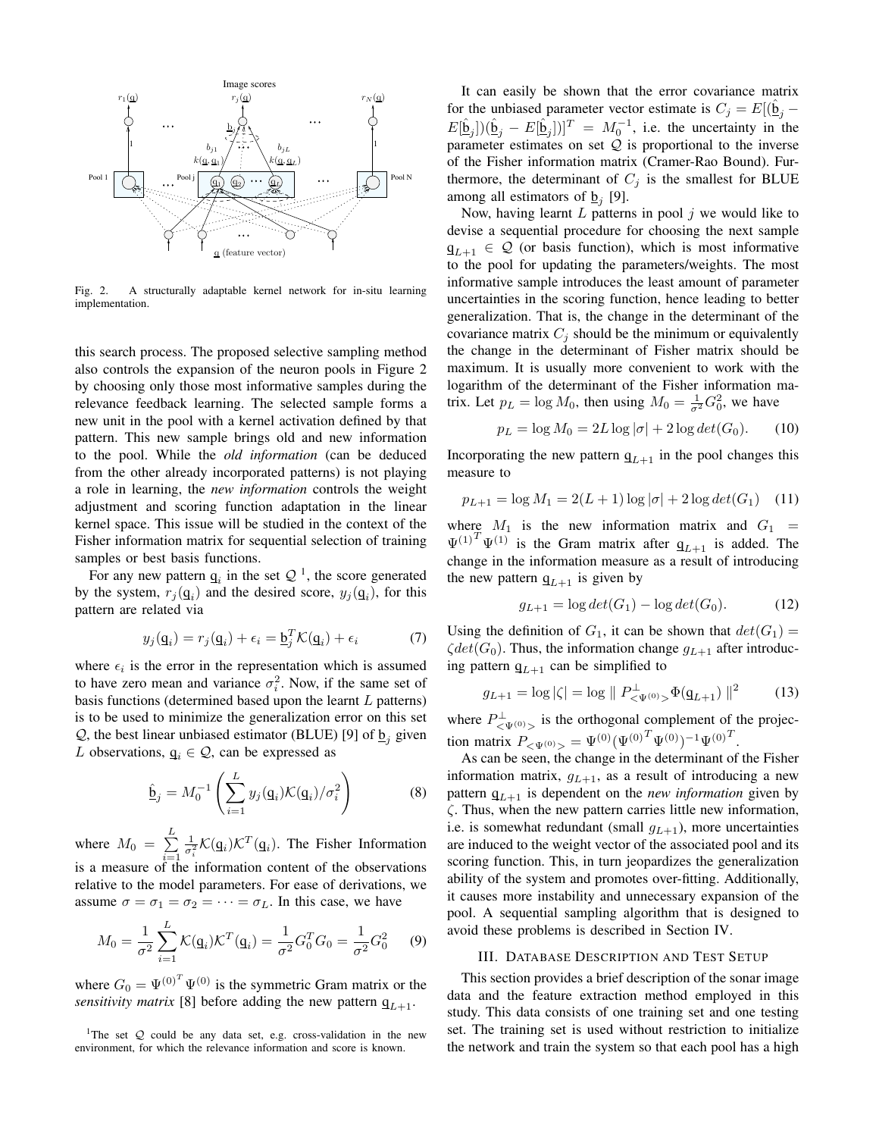

Fig. 2. A structurally adaptable kernel network for in-situ learning implementation.

this search process. The proposed selective sampling method also controls the expansion of the neuron pools in Figure 2 by choosing only those most informative samples during the relevance feedback learning. The selected sample forms a new unit in the pool with a kernel activation defined by that pattern. This new sample brings old and new information to the pool. While the *old information* (can be deduced from the other already incorporated patterns) is not playing a role in learning, the *new information* controls the weight adjustment and scoring function adaptation in the linear kernel space. This issue will be studied in the context of the Fisher information matrix for sequential selection of training samples or best basis functions.

For any new pattern  $q_i$  in the set  $Q<sup>1</sup>$ , the score generated by the system,  $r_j(q_i)$  and the desired score,  $y_j(q_i)$ , for this pattern are related via

$$
y_j(\mathbf{q}_i) = r_j(\mathbf{q}_i) + \epsilon_i = \underline{\mathbf{b}}_j^T \mathcal{K}(\mathbf{q}_i) + \epsilon_i \tag{7}
$$

where  $\epsilon_i$  is the error in the representation which is assumed to have zero mean and variance  $\sigma_i^2$ . Now, if the same set of basis functions (determined based upon the learnt  $L$  patterns) is to be used to minimize the generalization error on this set  $Q$ , the best linear unbiased estimator (BLUE) [9] of  $\underline{b}_j$  given L observations,  $q_i \in \mathcal{Q}$ , can be expressed as

$$
\underline{\hat{\mathbf{b}}}_{j} = M_0^{-1} \left( \sum_{i=1}^{L} y_j(\mathbf{q}_i) \mathcal{K}(\mathbf{q}_i) / \sigma_i^2 \right) \tag{8}
$$

where  $M_0 = \sum_{i=1}^L \frac{1}{\sigma_i^2} \mathcal{K}(\mathbf{q}_i) \mathcal{K}^T(\mathbf{q}_i)$ . The Fisher Information is a measure of the information content of the observations relative to the model parameters. For ease of derivations, we assume  $\sigma = \sigma_1 = \sigma_2 = \cdots = \sigma_L$ . In this case, we have

$$
M_0 = \frac{1}{\sigma^2} \sum_{i=1}^{L} \mathcal{K}(\mathbf{q}_i) \mathcal{K}^T(\mathbf{q}_i) = \frac{1}{\sigma^2} G_0^T G_0 = \frac{1}{\sigma^2} G_0^2 \tag{9}
$$

where  $G_0 = \Psi^{(0)^T} \Psi^{(0)}$  is the symmetric Gram matrix or the *sensitivity matrix* [8] before adding the new pattern  $q_{L+1}$ .

It can easily be shown that the error covariance matrix for the unbiased parameter vector estimate is  $C_j = E[(\hat{\mathbf{b}}_i - \mathbf{b})]$  $E[\hat{\mathbf{b}}_j])(\hat{\mathbf{b}}_j - E[\hat{\mathbf{b}}_j])]^T = M_0^{-1}$ , i.e. the uncertainty in the parameter estimates on set  $Q$  is proportional to the inverse of the Fisher information matrix (Cramer-Rao Bound). Furthermore, the determinant of  $C_j$  is the smallest for BLUE among all estimators of  $\underline{b}_j$  [9].

Now, having learnt  $L$  patterns in pool  $j$  we would like to devise a sequential procedure for choosing the next sample  $q_{L+1} \in \mathcal{Q}$  (or basis function), which is most informative to the pool for updating the parameters/weights. The most informative sample introduces the least amount of parameter uncertainties in the scoring function, hence leading to better generalization. That is, the change in the determinant of the covariance matrix  $C_j$  should be the minimum or equivalently the change in the determinant of Fisher matrix should be maximum. It is usually more convenient to work with the logarithm of the determinant of the Fisher information matrix. Let  $p_L = \log M_0$ , then using  $M_0 = \frac{1}{\sigma^2} G_0^2$ , we have

$$
p_L = \log M_0 = 2L \log |\sigma| + 2 \log det(G_0).
$$
 (10)

Incorporating the new pattern  $q_{L+1}$  in the pool changes this measure to

$$
p_{L+1} = \log M_1 = 2(L+1)\log|\sigma| + 2\log det(G_1) \quad (11)
$$

where  $M_1$  is the new information matrix and  $G_1$  =  $\Psi^{(1)}^T \Psi^{(1)}$  is the Gram matrix after  $q_{L+1}$  is added. The change in the information measure as a result of introducing the new pattern  $q_{L+1}$  is given by

$$
g_{L+1} = \log \det(G_1) - \log \det(G_0). \tag{12}
$$

Using the definition of  $G_1$ , it can be shown that  $det(G_1)$  =  $\zeta det(G_0)$ . Thus, the information change  $g_{L+1}$  after introducing pattern  $q_{L+1}$  can be simplified to

$$
g_{L+1} = \log|\zeta| = \log \| P_{\langle \Psi^{(0)} \rangle}^{\perp} \Phi(q_{L+1}) \|^2 \tag{13}
$$

where  $P_{\langle\Psi^{(0)}\rangle}^{\perp}$  is the orthogonal complement of the projection matrix  $P_{\langle \Psi^{(0)} \rangle} = \Psi^{(0)} (\Psi^{(0)}^T \Psi^{(0)})^{-1} \Psi^{(0)}^T$ .

As can be seen, the change in the determinant of the Fisher information matrix,  $g_{L+1}$ , as a result of introducing a new pattern  $q_{L+1}$  is dependent on the *new information* given by  $\zeta$ . Thus, when the new pattern carries little new information, i.e. is somewhat redundant (small  $g_{L+1}$ ), more uncertainties are induced to the weight vector of the associated pool and its scoring function. This, in turn jeopardizes the generalization ability of the system and promotes over-fitting. Additionally, it causes more instability and unnecessary expansion of the pool. A sequential sampling algorithm that is designed to avoid these problems is described in Section IV.

# III. DATABASE DESCRIPTION AND TEST SETUP

This section provides a brief description of the sonar image data and the feature extraction method employed in this study. This data consists of one training set and one testing set. The training set is used without restriction to initialize the network and train the system so that each pool has a high

<sup>&</sup>lt;sup>1</sup>The set  $Q$  could be any data set, e.g. cross-validation in the new environment, for which the relevance information and score is known.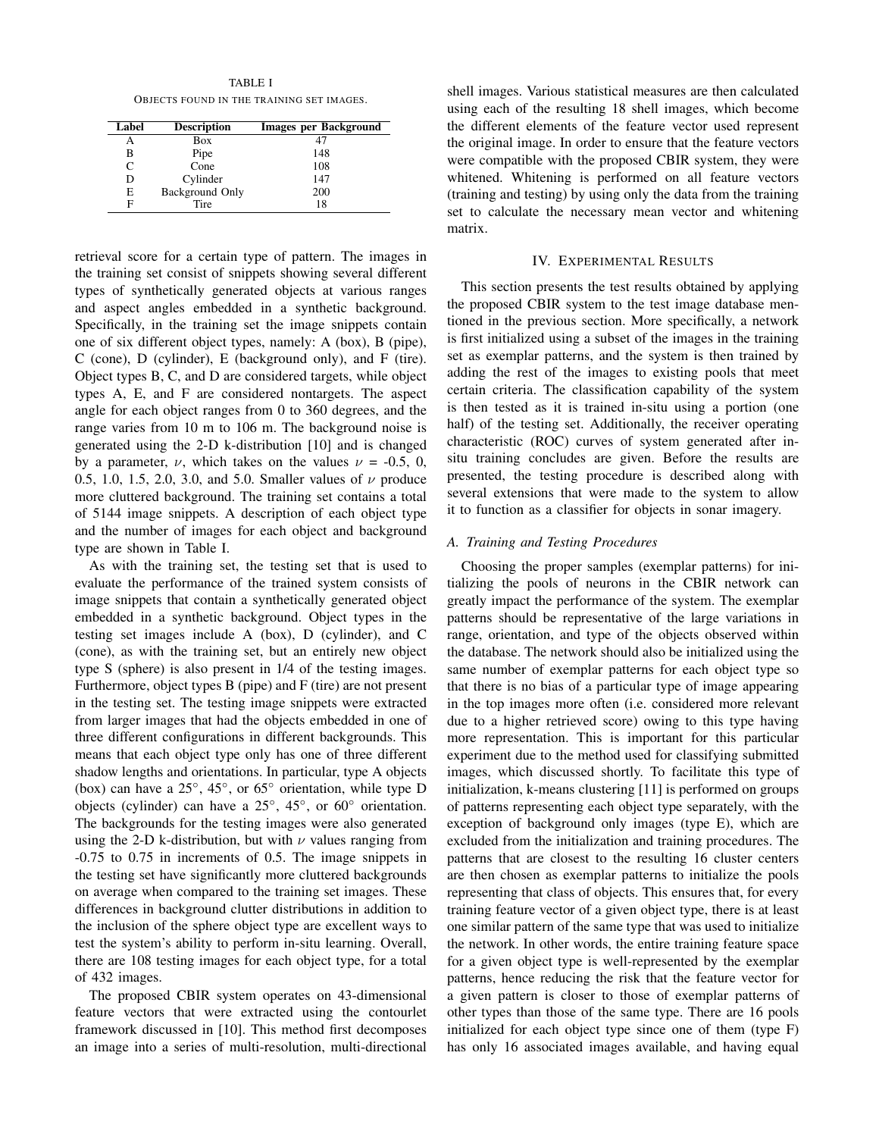TABLE I OBJECTS FOUND IN THE TRAINING SET IMAGES.

| Label | <b>Description</b> | <b>Images per Background</b> |
|-------|--------------------|------------------------------|
| А     | <b>Box</b>         | 47                           |
| в     | Pipe               | 148                          |
| C     | Cone               | 108                          |
| D     | Cylinder           | 147                          |
| E     | Background Only    | 200                          |
| F     | Tire               | 18                           |

retrieval score for a certain type of pattern. The images in the training set consist of snippets showing several different types of synthetically generated objects at various ranges and aspect angles embedded in a synthetic background. Specifically, in the training set the image snippets contain one of six different object types, namely: A (box), B (pipe), C (cone), D (cylinder), E (background only), and F (tire). Object types B, C, and D are considered targets, while object types A, E, and F are considered nontargets. The aspect angle for each object ranges from 0 to 360 degrees, and the range varies from 10 m to 106 m. The background noise is generated using the 2-D k-distribution [10] and is changed by a parameter,  $\nu$ , which takes on the values  $\nu = -0.5, 0,$ 0.5, 1.0, 1.5, 2.0, 3.0, and 5.0. Smaller values of  $\nu$  produce more cluttered background. The training set contains a total of 5144 image snippets. A description of each object type and the number of images for each object and background type are shown in Table I.

As with the training set, the testing set that is used to evaluate the performance of the trained system consists of image snippets that contain a synthetically generated object embedded in a synthetic background. Object types in the testing set images include A (box), D (cylinder), and C (cone), as with the training set, but an entirely new object type S (sphere) is also present in 1/4 of the testing images. Furthermore, object types B (pipe) and F (tire) are not present in the testing set. The testing image snippets were extracted from larger images that had the objects embedded in one of three different configurations in different backgrounds. This means that each object type only has one of three different shadow lengths and orientations. In particular, type A objects (box) can have a  $25^\circ$ ,  $45^\circ$ , or  $65^\circ$  orientation, while type D objects (cylinder) can have a  $25^\circ$ ,  $45^\circ$ , or  $60^\circ$  orientation. The backgrounds for the testing images were also generated using the 2-D k-distribution, but with  $\nu$  values ranging from -0.75 to 0.75 in increments of 0.5. The image snippets in the testing set have significantly more cluttered backgrounds on average when compared to the training set images. These differences in background clutter distributions in addition to the inclusion of the sphere object type are excellent ways to test the system's ability to perform in-situ learning. Overall, there are 108 testing images for each object type, for a total of 432 images.

The proposed CBIR system operates on 43-dimensional feature vectors that were extracted using the contourlet framework discussed in [10]. This method first decomposes an image into a series of multi-resolution, multi-directional shell images. Various statistical measures are then calculated using each of the resulting 18 shell images, which become the different elements of the feature vector used represent the original image. In order to ensure that the feature vectors were compatible with the proposed CBIR system, they were whitened. Whitening is performed on all feature vectors (training and testing) by using only the data from the training set to calculate the necessary mean vector and whitening matrix.

## IV. EXPERIMENTAL RESULTS

This section presents the test results obtained by applying the proposed CBIR system to the test image database mentioned in the previous section. More specifically, a network is first initialized using a subset of the images in the training set as exemplar patterns, and the system is then trained by adding the rest of the images to existing pools that meet certain criteria. The classification capability of the system is then tested as it is trained in-situ using a portion (one half) of the testing set. Additionally, the receiver operating characteristic (ROC) curves of system generated after insitu training concludes are given. Before the results are presented, the testing procedure is described along with several extensions that were made to the system to allow it to function as a classifier for objects in sonar imagery.

#### *A. Training and Testing Procedures*

Choosing the proper samples (exemplar patterns) for initializing the pools of neurons in the CBIR network can greatly impact the performance of the system. The exemplar patterns should be representative of the large variations in range, orientation, and type of the objects observed within the database. The network should also be initialized using the same number of exemplar patterns for each object type so that there is no bias of a particular type of image appearing in the top images more often (i.e. considered more relevant due to a higher retrieved score) owing to this type having more representation. This is important for this particular experiment due to the method used for classifying submitted images, which discussed shortly. To facilitate this type of initialization, k-means clustering [11] is performed on groups of patterns representing each object type separately, with the exception of background only images (type E), which are excluded from the initialization and training procedures. The patterns that are closest to the resulting 16 cluster centers are then chosen as exemplar patterns to initialize the pools representing that class of objects. This ensures that, for every training feature vector of a given object type, there is at least one similar pattern of the same type that was used to initialize the network. In other words, the entire training feature space for a given object type is well-represented by the exemplar patterns, hence reducing the risk that the feature vector for a given pattern is closer to those of exemplar patterns of other types than those of the same type. There are 16 pools initialized for each object type since one of them (type F) has only 16 associated images available, and having equal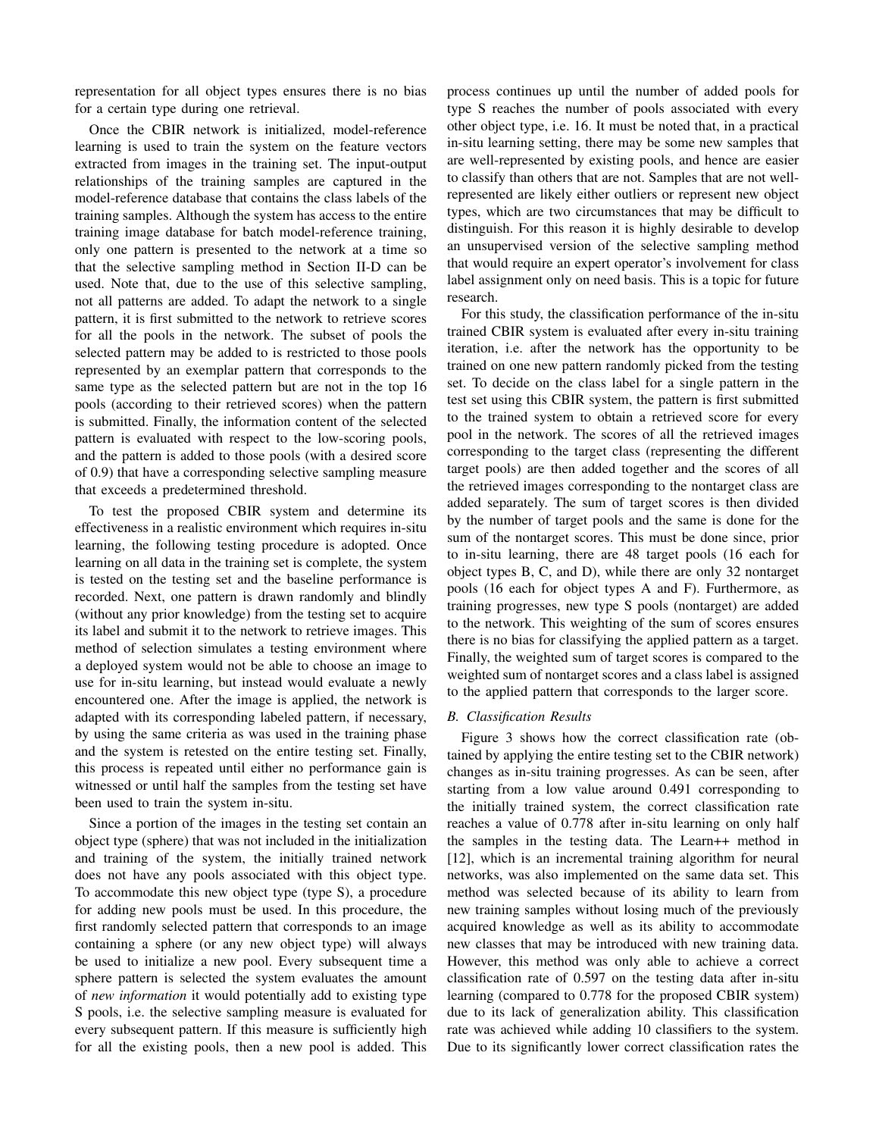representation for all object types ensures there is no bias for a certain type during one retrieval.

Once the CBIR network is initialized, model-reference learning is used to train the system on the feature vectors extracted from images in the training set. The input-output relationships of the training samples are captured in the model-reference database that contains the class labels of the training samples. Although the system has access to the entire training image database for batch model-reference training, only one pattern is presented to the network at a time so that the selective sampling method in Section II-D can be used. Note that, due to the use of this selective sampling, not all patterns are added. To adapt the network to a single pattern, it is first submitted to the network to retrieve scores for all the pools in the network. The subset of pools the selected pattern may be added to is restricted to those pools represented by an exemplar pattern that corresponds to the same type as the selected pattern but are not in the top 16 pools (according to their retrieved scores) when the pattern is submitted. Finally, the information content of the selected pattern is evaluated with respect to the low-scoring pools, and the pattern is added to those pools (with a desired score of 0.9) that have a corresponding selective sampling measure that exceeds a predetermined threshold.

To test the proposed CBIR system and determine its effectiveness in a realistic environment which requires in-situ learning, the following testing procedure is adopted. Once learning on all data in the training set is complete, the system is tested on the testing set and the baseline performance is recorded. Next, one pattern is drawn randomly and blindly (without any prior knowledge) from the testing set to acquire its label and submit it to the network to retrieve images. This method of selection simulates a testing environment where a deployed system would not be able to choose an image to use for in-situ learning, but instead would evaluate a newly encountered one. After the image is applied, the network is adapted with its corresponding labeled pattern, if necessary, by using the same criteria as was used in the training phase and the system is retested on the entire testing set. Finally, this process is repeated until either no performance gain is witnessed or until half the samples from the testing set have been used to train the system in-situ.

Since a portion of the images in the testing set contain an object type (sphere) that was not included in the initialization and training of the system, the initially trained network does not have any pools associated with this object type. To accommodate this new object type (type S), a procedure for adding new pools must be used. In this procedure, the first randomly selected pattern that corresponds to an image containing a sphere (or any new object type) will always be used to initialize a new pool. Every subsequent time a sphere pattern is selected the system evaluates the amount of *new information* it would potentially add to existing type S pools, i.e. the selective sampling measure is evaluated for every subsequent pattern. If this measure is sufficiently high for all the existing pools, then a new pool is added. This

process continues up until the number of added pools for type S reaches the number of pools associated with every other object type, i.e. 16. It must be noted that, in a practical in-situ learning setting, there may be some new samples that are well-represented by existing pools, and hence are easier to classify than others that are not. Samples that are not wellrepresented are likely either outliers or represent new object types, which are two circumstances that may be difficult to distinguish. For this reason it is highly desirable to develop an unsupervised version of the selective sampling method that would require an expert operator's involvement for class label assignment only on need basis. This is a topic for future research.

For this study, the classification performance of the in-situ trained CBIR system is evaluated after every in-situ training iteration, i.e. after the network has the opportunity to be trained on one new pattern randomly picked from the testing set. To decide on the class label for a single pattern in the test set using this CBIR system, the pattern is first submitted to the trained system to obtain a retrieved score for every pool in the network. The scores of all the retrieved images corresponding to the target class (representing the different target pools) are then added together and the scores of all the retrieved images corresponding to the nontarget class are added separately. The sum of target scores is then divided by the number of target pools and the same is done for the sum of the nontarget scores. This must be done since, prior to in-situ learning, there are 48 target pools (16 each for object types B, C, and D), while there are only 32 nontarget pools (16 each for object types A and F). Furthermore, as training progresses, new type S pools (nontarget) are added to the network. This weighting of the sum of scores ensures there is no bias for classifying the applied pattern as a target. Finally, the weighted sum of target scores is compared to the weighted sum of nontarget scores and a class label is assigned to the applied pattern that corresponds to the larger score.

## *B. Classification Results*

Figure 3 shows how the correct classification rate (obtained by applying the entire testing set to the CBIR network) changes as in-situ training progresses. As can be seen, after starting from a low value around 0.491 corresponding to the initially trained system, the correct classification rate reaches a value of 0.778 after in-situ learning on only half the samples in the testing data. The Learn++ method in [12], which is an incremental training algorithm for neural networks, was also implemented on the same data set. This method was selected because of its ability to learn from new training samples without losing much of the previously acquired knowledge as well as its ability to accommodate new classes that may be introduced with new training data. However, this method was only able to achieve a correct classification rate of 0.597 on the testing data after in-situ learning (compared to 0.778 for the proposed CBIR system) due to its lack of generalization ability. This classification rate was achieved while adding 10 classifiers to the system. Due to its significantly lower correct classification rates the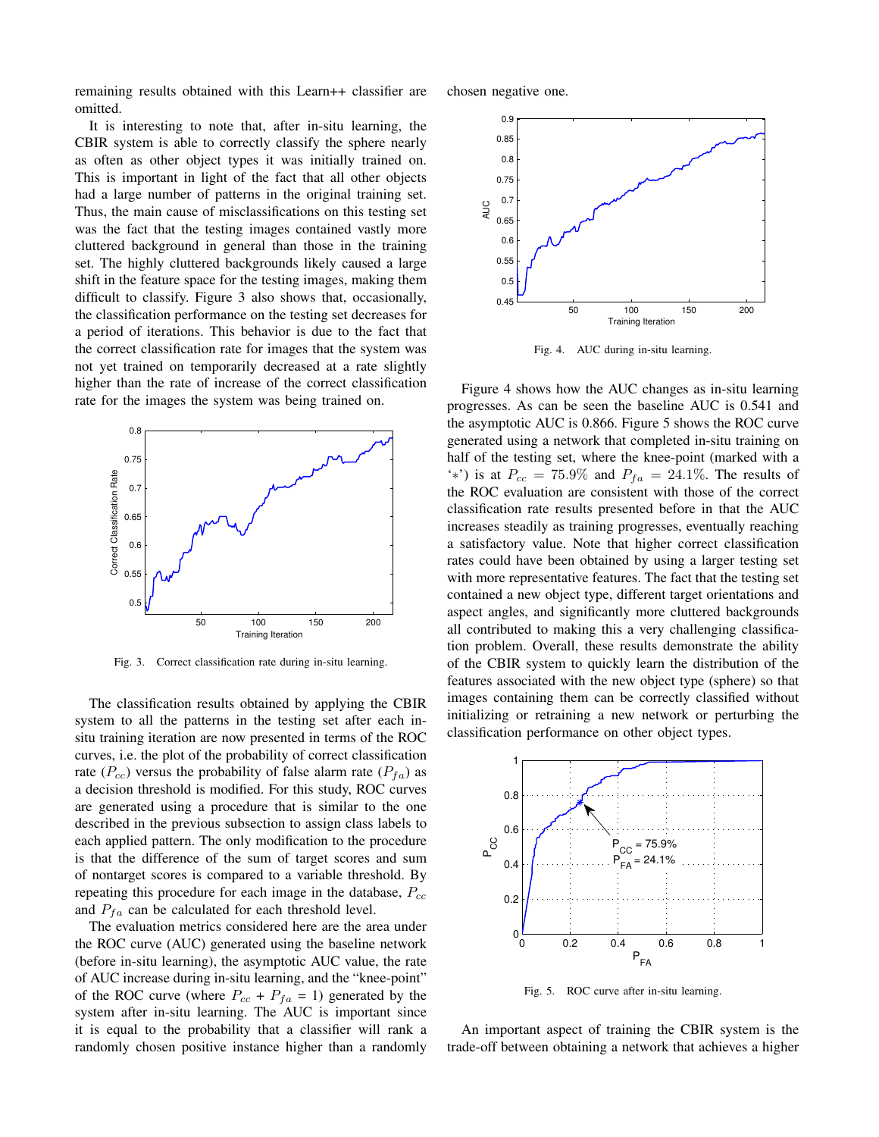remaining results obtained with this Learn++ classifier are omitted.

It is interesting to note that, after in-situ learning, the CBIR system is able to correctly classify the sphere nearly as often as other object types it was initially trained on. This is important in light of the fact that all other objects had a large number of patterns in the original training set. Thus, the main cause of misclassifications on this testing set was the fact that the testing images contained vastly more cluttered background in general than those in the training set. The highly cluttered backgrounds likely caused a large shift in the feature space for the testing images, making them difficult to classify. Figure 3 also shows that, occasionally, the classification performance on the testing set decreases for a period of iterations. This behavior is due to the fact that the correct classification rate for images that the system was not yet trained on temporarily decreased at a rate slightly higher than the rate of increase of the correct classification rate for the images the system was being trained on.



Fig. 3. Correct classification rate during in-situ learning.

The classification results obtained by applying the CBIR system to all the patterns in the testing set after each insitu training iteration are now presented in terms of the ROC curves, i.e. the plot of the probability of correct classification rate ( $P_{cc}$ ) versus the probability of false alarm rate ( $P_{fa}$ ) as a decision threshold is modified. For this study, ROC curves are generated using a procedure that is similar to the one described in the previous subsection to assign class labels to each applied pattern. The only modification to the procedure is that the difference of the sum of target scores and sum of nontarget scores is compared to a variable threshold. By repeating this procedure for each image in the database,  $P_{cc}$ and  $P_{fa}$  can be calculated for each threshold level.

The evaluation metrics considered here are the area under the ROC curve (AUC) generated using the baseline network (before in-situ learning), the asymptotic AUC value, the rate of AUC increase during in-situ learning, and the "knee-point" of the ROC curve (where  $P_{cc} + P_{fa} = 1$ ) generated by the system after in-situ learning. The AUC is important since it is equal to the probability that a classifier will rank a randomly chosen positive instance higher than a randomly chosen negative one.



Fig. 4. AUC during in-situ learning.

Figure 4 shows how the AUC changes as in-situ learning progresses. As can be seen the baseline AUC is 0.541 and the asymptotic AUC is 0.866. Figure 5 shows the ROC curve generated using a network that completed in-situ training on half of the testing set, where the knee-point (marked with a '\*') is at  $P_{cc} = 75.9\%$  and  $P_{fa} = 24.1\%$ . The results of the ROC evaluation are consistent with those of the correct classification rate results presented before in that the AUC increases steadily as training progresses, eventually reaching a satisfactory value. Note that higher correct classification rates could have been obtained by using a larger testing set with more representative features. The fact that the testing set contained a new object type, different target orientations and aspect angles, and significantly more cluttered backgrounds all contributed to making this a very challenging classification problem. Overall, these results demonstrate the ability of the CBIR system to quickly learn the distribution of the features associated with the new object type (sphere) so that images containing them can be correctly classified without initializing or retraining a new network or perturbing the classification performance on other object types.



Fig. 5. ROC curve after in-situ learning.

An important aspect of training the CBIR system is the trade-off between obtaining a network that achieves a higher